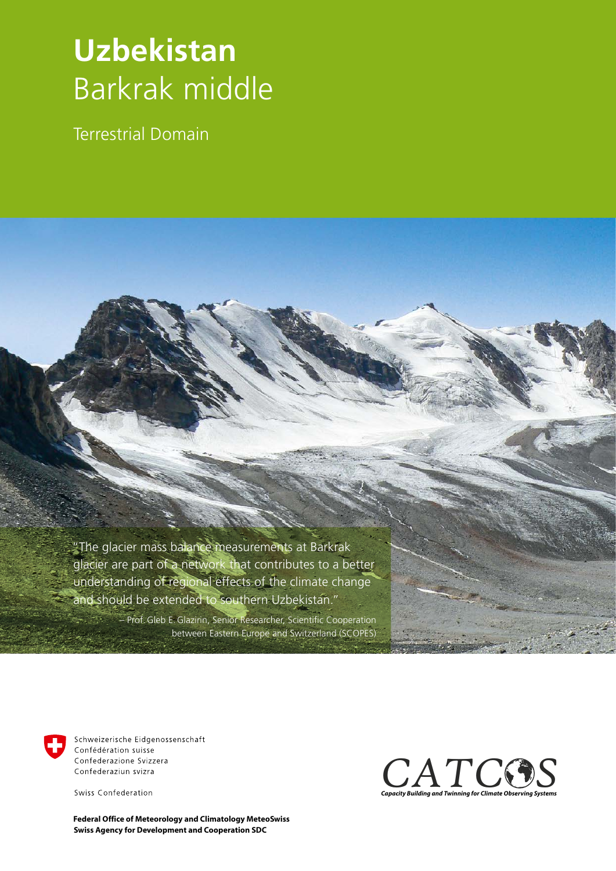## **Uzbekistan** Barkrak middle

Terrestrial Domain

 "The glacier mass balance measurements at Barkrak glacier are part of a network that contributes to a better understanding of regional effects of the climate change and should be extended to southern Uzbekistan."

> – Prof.Gleb E.Glazirin, Senior Researcher, Scientific Cooperation between Eastern Europe and Switzerland (SCOPES)



Schweizerische Eidgenossenschaft Confédération suisse Confederazione Svizzera Confederaziun svizra

Swiss Confederation

**Swiss Agency for Development and Cooperation SDC Federal Office of Meteorology and Climatology MeteoSwiss**